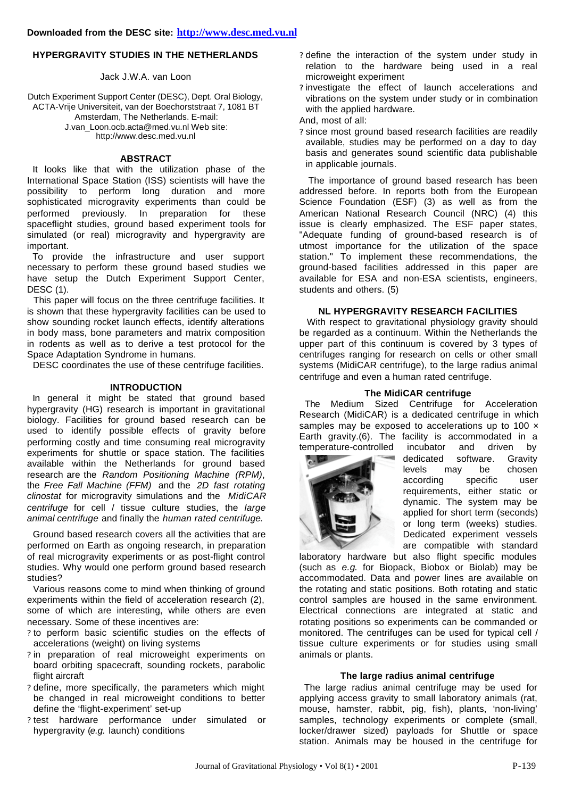## **HYPERGRAVITY STUDIES IN THE NETHERLANDS**

Jack J.W.A. van Loon

Dutch Experiment Support Center (DESC), Dept. Oral Biology, ACTA-Vrije Universiteit, van der Boechorststraat 7, 1081 BT Amsterdam, The Netherlands. E-mail: J.van\_Loon.ocb.acta@med.vu.nl Web site: http://www.desc.med.vu.nl

## **ABSTRACT**

 It looks like that with the utilization phase of the International Space Station (ISS) scientists will have the possibility to perform long duration and more sophisticated microgravity experiments than could be performed previously. In preparation for these spaceflight studies, ground based experiment tools for simulated (or real) microgravity and hypergravity are important.

 To provide the infrastructure and user support necessary to perform these ground based studies we have setup the Dutch Experiment Support Center, DESC (1).

 This paper will focus on the three centrifuge facilities. It is shown that these hypergravity facilities can be used to show sounding rocket launch effects, identify alterations in body mass, bone parameters and matrix composition in rodents as well as to derive a test protocol for the Space Adaptation Syndrome in humans.

DESC coordinates the use of these centrifuge facilities.

#### **INTRODUCTION**

 In general it might be stated that ground based hypergravity (HG) research is important in gravitational biology. Facilities for ground based research can be used to identify possible effects of gravity before performing costly and time consuming real microgravity experiments for shuttle or space station. The facilities available within the Netherlands for ground based research are the *Random Positioning Machine (RPM)*, the *Free Fall Machine (FFM)* and the *2D fast rotating clinostat* for microgravity simulations and the *MidiCAR centrifuge* for cell / tissue culture studies, the *large animal centrifuge* and finally the *human rated centrifuge*.

 Ground based research covers all the activities that are performed on Earth as ongoing research, in preparation of real microgravity experiments or as post-flight control studies. Why would one perform ground based research studies?

 Various reasons come to mind when thinking of ground experiments within the field of acceleration research (2), some of which are interesting, while others are even necessary. Some of these incentives are:

- ? to perform basic scientific studies on the effects of accelerations (weight) on living systems
- ? in preparation of real microweight experiments on board orbiting spacecraft, sounding rockets, parabolic flight aircraft
- ? define, more specifically, the parameters which might be changed in real microweight conditions to better define the 'flight-experiment' set-up
- ? test hardware performance under simulated or hypergravity (*e.g.* launch) conditions
- ? define the interaction of the system under study in relation to the hardware being used in a real microweight experiment
- ? investigate the effect of launch accelerations and vibrations on the system under study or in combination with the applied hardware.
- And, most of all:
- ? since most ground based research facilities are readily available, studies may be performed on a day to day basis and generates sound scientific data publishable in applicable journals.

 The importance of ground based research has been addressed before. In reports both from the European Science Foundation (ESF) (3) as well as from the American National Research Council (NRC) (4) this issue is clearly emphasized. The  $ESF$  paper states, "Adequate funding of ground-based research is of utmost importance for the utilization of the space station." To implement these recommendations, the ground-based facilities addressed in this paper are available for ESA and non-ESA scientists, engineers, students and others. (5)

#### **NL HYPERGRAVITY RESEARCH FACILITIES**

 With respect to gravitational physiology gravity should be regarded as a continuum. Within the Netherlands the upper part of this continuum is covered by 3 types of centrifuges ranging for research on cells or other small systems (MidiCAR centrifuge), to the large radius animal centrifuge and even a human rated centrifuge.

## **The MidiCAR centrifuge**

 The Medium Sized Centrifuge for Acceleration Research (MidiCAR) is a dedicated centrifuge in which samples may be exposed to accelerations up to 100 x Earth gravity.(6). The facility is accommodated in a temperature-controlled incubator and driven by



dedicated software. Gravity levels may be chosen<br>according specific user according specific user requirements, either static or dynamic. The system may be applied for short term (seconds) or long term (weeks) studies. Dedicated experiment vessels are compatible with standard

laboratory hardware but also flight specific modules (such as *e.g*. for Biopack, Biobox or Biolab) may be accommodated. Data and power lines are available on the rotating and static positions. Both rotating and static control samples are housed in the same environment. Electrical connections are integrated at static and rotating positions so experiments can be commanded or monitored. The centrifuges can be used for typical cell / tissue culture experiments or for studies using small animals or plants.

## **The large radius animal centrifuge**

The large radius animal centrifuge may be used for applying access gravity to small laboratory animals (rat, mouse, hamster, rabbit, pig, fish), plants, 'non-living' samples, technology experiments or complete (small, locker/drawer sized) payloads for Shuttle or space station. Animals may be housed in the centrifuge for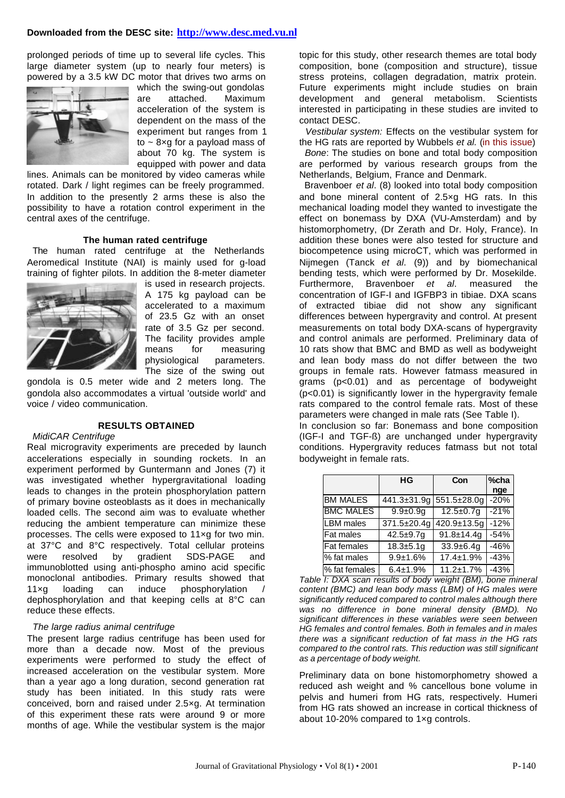## **Downloaded from the DESC site: http://www.desc.med.vu.nl**

prolonged periods of time up to several life cycles. This large diameter system (up to nearly four meters) is powered by a 3.5 kW DC motor that drives two arms on



which the swing-out gondolas are attached. Maximum acceleration of the system is dependent on the mass of the experiment but ranges from 1 to  $\sim$  8xg for a payload mass of about 70 kg. The system is equipped with power and data

lines. Animals can be monitored by video cameras while rotated. Dark / light regimes can be freely programmed. In addition to the presently 2 arms these is also the possibility to have a rotation control experiment in the central axes of the centrifuge.

#### **The human rated centrifuge**

 The human rated centrifuge at the Netherlands Aeromedical Institute (NAI) is mainly used for g-load training of fighter pilots. In addition the 8-meter diameter



is used in research projects. A 175 kg payload can be accelerated to a maximum of 23.5 Gz with an onset rate of 3.5 Gz per second. The facility provides ample means for measuring physiological parameters. The size of the swing out

gondola is 0.5 meter wide and 2 meters long. The gondola also accommodates a virtual 'outside world' and voice / video communication.

#### **RESULTS OBTAINED**

#### *MidiCAR Centrifuge*

Real microgravity experiments are preceded by launch accelerations especially in sounding rockets. In an experiment performed by Guntermann and Jones (7) it was investigated whether hypergravitational loading leads to changes in the protein phosphorylation pattern of primary bovine osteoblasts as it does in mechanically loaded cells. The second aim was to evaluate whether reducing the ambient temperature can minimize these processes. The cells were exposed to 11×g for two min. at 37°C and 8°C respectively. Total cellular proteins were resolved by gradient SDS-PAGE and immunoblotted using anti-phospho amino acid specific monoclonal antibodies. Primary results showed that 11×g loading can induce phosphorylation / dephosphorylation and that keeping cells at 8°C can reduce these effects.

## *The large radius animal centrifuge*

The present large radius centrifuge has been used for more than a decade now. Most of the previous experiments were performed to study the effect of increased acceleration on the vestibular system. More than a year ago a long duration, second generation rat study has been initiated. In this study rats were conceived, born and raised under 2.5×g. At termination of this experiment these rats were around 9 or more months of age. While the vestibular system is the major topic for this study, other research themes are total body composition, bone (composition and structure), tissue stress proteins, collagen degradation, matrix protein. Future experiments might include studies on brain development and general metabolism. Scientists interested in participating in these studies are invited to contact DESC.

 *Vestibular system:* Effects on the vestibular system for the HG rats are reported by Wubbels *et al.* (in this issue)

 *Bone*: The studies on bone and total body composition are performed by various research groups from the Netherlands, Belgium, France and Denmark.

 Bravenboer *et al*. (8) looked into total body composition and bone mineral content of 2.5×g HG rats. In this mechanical loading model they wanted to investigate the effect on bonemass by DXA (VU-Amsterdam) and by histomorphometry, (Dr Zerath and Dr. Holy, France). In addition these bones were also tested for structure and biocompetence using microCT, which was performed in Nijmegen (Tanck *et al*. (9)) and by biomechanical bending tests, which were performed by Dr. Mosekilde. Furthermore, Bravenboer *et al*. measured the concentration of IGF-I and IGFBP3 in tibiae. DXA scans of extracted tibiae did not show any significant differences between hypergravity and control. At present measurements on total body DXA-scans of hypergravity and control animals are performed. Preliminary data of 10 rats show that BMC and BMD as well as bodyweight and lean body mass do not differ between the two groups in female rats. However fatmass measured in grams (p<0.01) and as percentage of bodyweight (p<0.01) is significantly lower in the hypergravity female rats compared to the control female rats. Most of these parameters were changed in male rats (See Table I).

In conclusion so far: Bonemass and bone composition (IGF-I and TGF-ß) are unchanged under hypergravity conditions. Hypergravity reduces fatmass but not total bodyweight in female rats.

|                    | HG                        | Con              | %cha   |
|--------------------|---------------------------|------------------|--------|
|                    |                           |                  | nge    |
| <b>BM MALES</b>    | 441.3±31.9g               | 551.5±28.0g      | $-20%$ |
| <b>BMC MALES</b>   | $9.9 + 0.9q$              | $12.5 + 0.7g$    | $-21%$ |
| <b>LBM</b> males   | $\overline{371.5}$ ±20.4g | 420.9±13.5g      | $-12%$ |
| Fat males          | $42.5 + 9.7g$             | $91.8 + 14.4q$   | $-54%$ |
| <b>Fat females</b> | $18.3 + 5.1q$             | $33.9 + 6.4g$    | $-46%$ |
| % fat males        | $9.9 + 1.6%$              | $17.4 \pm 1.9\%$ | $-43%$ |
| % fat females      | $6.4 \pm 1.9\%$           | $11.2 \pm 1.7\%$ | $-43%$ |

*Table I: DXA scan results of body weight (BM), bone mineral content (BMC) and lean body mass (LBM) of HG males were significantly reduced compared to control males although there was no difference in bone mineral density (BMD). No significant differences in these variables were seen between HG females and control females. Both in females and in males there was a significant reduction of fat mass in the HG rats compared to the control rats. This reduction was still significant as a percentage of body weight.*

Preliminary data on bone histomorphometry showed a reduced ash weight and % cancellous bone volume in pelvis and humeri from HG rats, respectively. Humeri from HG rats showed an increase in cortical thickness of about 10-20% compared to 1×g controls.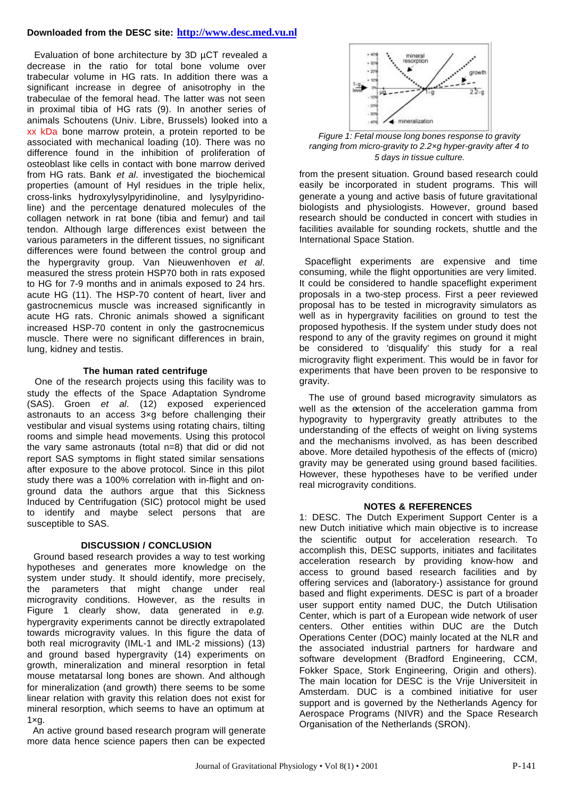# **Downloaded from the DESC site: http://www.desc.med.vu.nl**

 Evaluation of bone architecture by 3D µCT revealed a decrease in the ratio for total bone volume over trabecular volume in HG rats. In addition there was a significant increase in degree of anisotrophy in the trabeculae of the femoral head. The latter was not seen in proximal tibia of HG rats (9). In another series of animals Schoutens (Univ. Libre, Brussels) looked into a xx kDa bone marrow protein, a protein reported to be associated with mechanical loading (10). There was no difference found in the inhibition of proliferation of osteoblast like cells in contact with bone marrow derived from HG rats. Bank *et al*. investigated the biochemical properties (amount of Hyl residues in the triple helix, cross-links hydroxylysylpyridinoline, and lysylpyridinoline) and the percentage denatured molecules of the collagen network in rat bone (tibia and femur) and tail tendon. Although large differences exist between the various parameters in the different tissues, no significant differences were found between the control group and the hypergravity group. Van Nieuwenhoven *et al*. measured the stress protein HSP70 both in rats exposed to HG for 7-9 months and in animals exposed to 24 hrs. acute HG (11). The HSP-70 content of heart, liver and gastrocnemicus muscle was increased significantly in acute HG rats. Chronic animals showed a significant increased HSP-70 content in only the gastrocnemicus muscle. There were no significant differences in brain, lung, kidney and testis.

## **The human rated centrifuge**

 One of the research projects using this facility was to study the effects of the Space Adaptation Syndrome (SAS). Groen *et al*. (12) exposed experienced astronauts to an access 3×g before challenging their vestibular and visual systems using rotating chairs, tilting rooms and simple head movements. Using this protocol the vary same astronauts (total n=8) that did or did not report SAS symptoms in flight stated similar sensations after exposure to the above protocol. Since in this pilot study there was a 100% correlation with in-flight and onground data the authors argue that this Sickness Induced by Centrifugation (SIC) protocol might be used to identify and maybe select persons that are susceptible to SAS.

# **DISCUSSION / CONCLUSION**

 Ground based research provides a way to test working hypotheses and generates more knowledge on the system under study. It should identify, more precisely, the parameters that might change under real microgravity conditions. However, as the results in Figure 1 clearly show, data generated in *e.g.* hypergravity experiments cannot be directly extrapolated towards microgravity values. In this figure the data of both real microgravity (IML-1 and IML-2 missions) (13) and ground based hypergravity (14) experiments on growth, mineralization and mineral resorption in fetal mouse metatarsal long bones are shown. And although for mineralization (and growth) there seems to be some linear relation with gravity this relation does not exist for mineral resorption, which seems to have an optimum at  $1 \times q$ .

 An active ground based research program will generate more data hence science papers then can be expected



*Figure 1: Fetal mouse long bones response to gravity ranging from micro-gravity to 2.2×g hyper-gravity after 4 to 5 days in tissue culture.*

from the present situation. Ground based research could easily be incorporated in student programs. This will generate a young and active basis of future gravitational biologists and physiologists. However, ground based research should be conducted in concert with studies in facilities available for sounding rockets, shuttle and the International Space Station.

 Spaceflight experiments are expensive and time consuming, while the flight opportunities are very limited. It could be considered to handle spaceflight experiment proposals in a two-step process. First a peer reviewed proposal has to be tested in microgravity simulators as well as in hypergravity facilities on ground to test the proposed hypothesis. If the system under study does not respond to any of the gravity regimes on ground it might be considered to 'disqualify' this study for a real microgravity flight experiment. This would be in favor for experiments that have been proven to be responsive to gravity.

 The use of ground based microgravity simulators as well as the extension of the acceleration gamma from hypogravity to hypergravity greatly attributes to the understanding of the effects of weight on living systems and the mechanisms involved, as has been described above. More detailed hypothesis of the effects of (micro) gravity may be generated using ground based facilities. However, these hypotheses have to be verified under real microgravity conditions.

# **NOTES & REFERENCES**

1: DESC. The Dutch Experiment Support Center is a new Dutch initiative which main objective is to increase the scientific output for acceleration research. To accomplish this, DESC supports, initiates and facilitates acceleration research by providing know-how and access to ground based research facilities and by offering services and (laboratory-) assistance for ground based and flight experiments. DESC is part of a broader user support entity named DUC, the Dutch Utilisation Center, which is part of a European wide network of user centers. Other entities within DUC are the Dutch Operations Center (DOC) mainly located at the NLR and the associated industrial partners for hardware and software development (Bradford Engineering, CCM, Fokker Space, Stork Engineering, Origin and others). The main location for DESC is the Vrije Universiteit in Amsterdam. DUC is a combined initiative for user support and is governed by the Netherlands Agency for Aerospace Programs (NIVR) and the Space Research Organisation of the Netherlands (SRON).